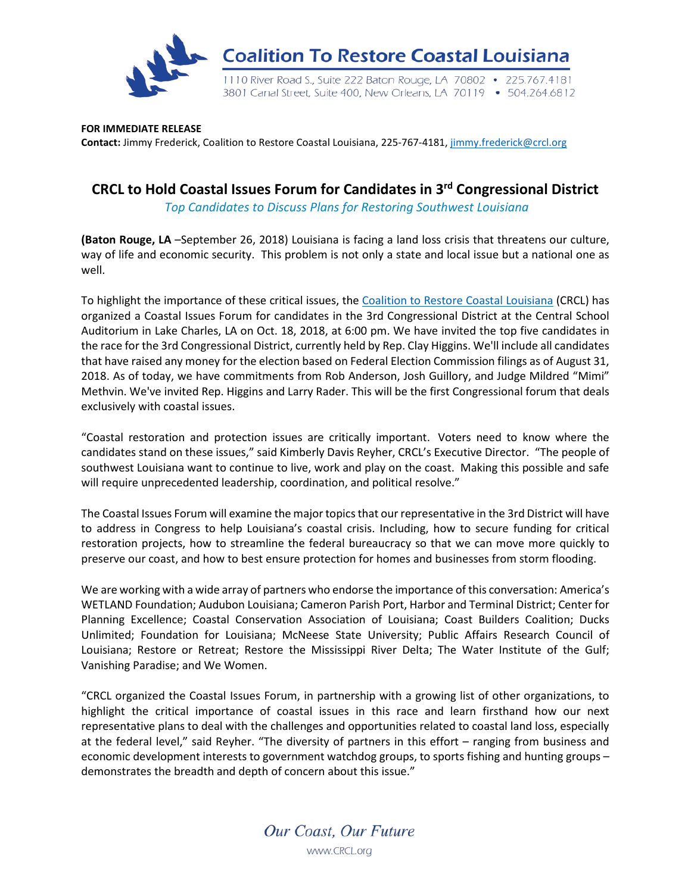

**FOR IMMEDIATE RELEASE Contact:** Jimmy Frederick, Coalition to Restore Coastal Louisiana, 225-767-4181, [jimmy.frederick@crcl.org](mailto:jimmy.frederick@crcl.org)

## **CRCL to Hold Coastal Issues Forum for Candidates in 3rd Congressional District**

*Top Candidates to Discuss Plans for Restoring Southwest Louisiana*

**(Baton Rouge, LA** –September 26, 2018) Louisiana is facing a land loss crisis that threatens our culture, way of life and economic security. This problem is not only a state and local issue but a national one as well.

To highlight the importance of these critical issues, the [Coalition to Restore Coastal Louisiana](http://www.crcl.org/) (CRCL) has organized a Coastal Issues Forum for candidates in the 3rd Congressional District at the Central School Auditorium in Lake Charles, LA on Oct. 18, 2018, at 6:00 pm. We have invited the top five candidates in the race for the 3rd Congressional District, currently held by Rep. Clay Higgins. We'll include all candidates that have raised any money for the election based on Federal Election Commission filings as of August 31, 2018. As of today, we have commitments from Rob Anderson, Josh Guillory, and Judge Mildred "Mimi" Methvin. We've invited Rep. Higgins and Larry Rader. This will be the first Congressional forum that deals exclusively with coastal issues.

"Coastal restoration and protection issues are critically important. Voters need to know where the candidates stand on these issues," said Kimberly Davis Reyher, CRCL's Executive Director. "The people of southwest Louisiana want to continue to live, work and play on the coast. Making this possible and safe will require unprecedented leadership, coordination, and political resolve."

The Coastal Issues Forum will examine the major topics that our representative in the 3rd District will have to address in Congress to help Louisiana's coastal crisis. Including, how to secure funding for critical restoration projects, how to streamline the federal bureaucracy so that we can move more quickly to preserve our coast, and how to best ensure protection for homes and businesses from storm flooding.

We are working with a wide array of partners who endorse the importance of this conversation: America's WETLAND Foundation; Audubon Louisiana; Cameron Parish Port, Harbor and Terminal District; Center for Planning Excellence; Coastal Conservation Association of Louisiana; Coast Builders Coalition; Ducks Unlimited; Foundation for Louisiana; McNeese State University; Public Affairs Research Council of Louisiana; Restore or Retreat; Restore the Mississippi River Delta; The Water Institute of the Gulf; Vanishing Paradise; and We Women.

"CRCL organized the Coastal Issues Forum, in partnership with a growing list of other organizations, to highlight the critical importance of coastal issues in this race and learn firsthand how our next representative plans to deal with the challenges and opportunities related to coastal land loss, especially at the federal level," said Reyher. "The diversity of partners in this effort – ranging from business and economic development interests to government watchdog groups, to sports fishing and hunting groups – demonstrates the breadth and depth of concern about this issue."

> Our Coast, Our Future www.CRCL.org